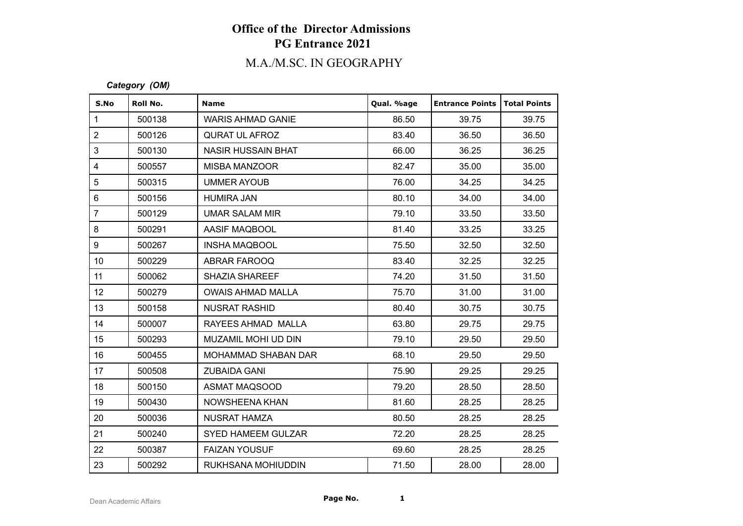# **Office of the Director Admissions PG Entrance 2021**

## M.A./M.SC. IN GEOGRAPHY

#### *Category (OM)*

| S.No             | Roll No. | <b>Name</b>               | Qual. %age | <b>Entrance Points</b> | Total Points |
|------------------|----------|---------------------------|------------|------------------------|--------------|
| $\mathbf{1}$     | 500138   | <b>WARIS AHMAD GANIE</b>  | 86.50      | 39.75                  | 39.75        |
| $\overline{2}$   | 500126   | <b>QURAT UL AFROZ</b>     | 83.40      | 36.50                  | 36.50        |
| 3                | 500130   | <b>NASIR HUSSAIN BHAT</b> | 66.00      | 36.25                  | 36.25        |
| $\overline{4}$   | 500557   | <b>MISBA MANZOOR</b>      | 82.47      | 35.00                  | 35.00        |
| 5                | 500315   | <b>UMMER AYOUB</b>        | 76.00      | 34.25                  | 34.25        |
| $6\phantom{a}$   | 500156   | <b>HUMIRA JAN</b>         | 80.10      | 34.00                  | 34.00        |
| $\overline{7}$   | 500129   | <b>UMAR SALAM MIR</b>     | 79.10      | 33.50                  | 33.50        |
| 8                | 500291   | AASIF MAQBOOL             | 81.40      | 33.25                  | 33.25        |
| 9                | 500267   | <b>INSHA MAQBOOL</b>      | 75.50      | 32.50                  | 32.50        |
| 10 <sup>1</sup>  | 500229   | ABRAR FAROOQ              | 83.40      | 32.25                  | 32.25        |
| 11               | 500062   | <b>SHAZIA SHAREEF</b>     | 74.20      | 31.50                  | 31.50        |
| 12 <sub>2</sub>  | 500279   | <b>OWAIS AHMAD MALLA</b>  | 75.70      | 31.00                  | 31.00        |
| 13               | 500158   | <b>NUSRAT RASHID</b>      | 80.40      | 30.75                  | 30.75        |
| 14               | 500007   | RAYEES AHMAD MALLA        | 63.80      | 29.75                  | 29.75        |
| 15 <sub>15</sub> | 500293   | MUZAMIL MOHI UD DIN       | 79.10      | 29.50                  | 29.50        |
| 16               | 500455   | MOHAMMAD SHABAN DAR       | 68.10      | 29.50                  | 29.50        |
| 17               | 500508   | <b>ZUBAIDA GANI</b>       | 75.90      | 29.25                  | 29.25        |
| 18               | 500150   | ASMAT MAQSOOD             | 79.20      | 28.50                  | 28.50        |
| 19               | 500430   | NOWSHEENA KHAN            | 81.60      | 28.25                  | 28.25        |
| 20               | 500036   | <b>NUSRAT HAMZA</b>       | 80.50      | 28.25                  | 28.25        |
| 21               | 500240   | <b>SYED HAMEEM GULZAR</b> | 72.20      | 28.25                  | 28.25        |
| 22               | 500387   | <b>FAIZAN YOUSUF</b>      | 69.60      | 28.25                  | 28.25        |
| 23               | 500292   | RUKHSANA MOHIUDDIN        | 71.50      | 28.00                  | 28.00        |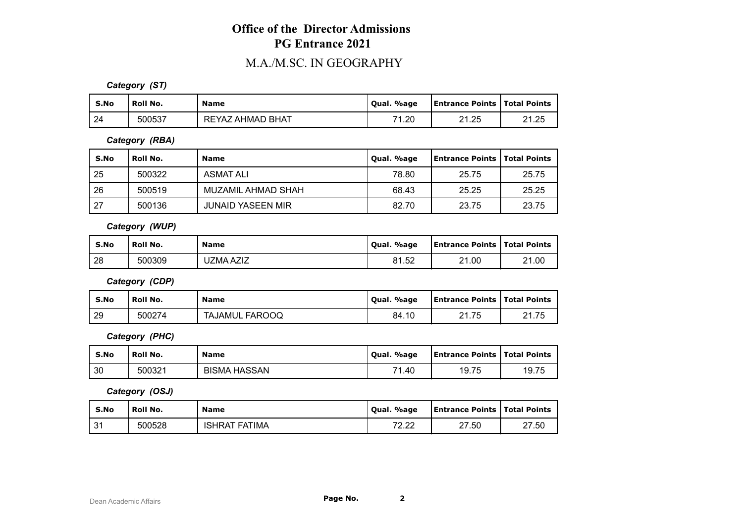## **Office of the Director Admissions PG Entrance 2021**

#### M.A./M.SC. IN GEOGRAPHY

*Category (ST)*

| S.No | ' Roll No. | <b>Name</b>      | Qual. %age | <b>Entrance Points Total Points</b> |       |
|------|------------|------------------|------------|-------------------------------------|-------|
| 24   | 500537     | REYAZ AHMAD BHAT | 71.20      | 21.25                               | 21.25 |

*Category (RBA)*

| S.No | <b>Roll No.</b> | <b>Name</b>              | Qual. %age | <b>Entrance Points   Total Points</b> |       |
|------|-----------------|--------------------------|------------|---------------------------------------|-------|
| 25   | 500322          | <b>ASMAT ALI</b>         | 78.80      | 25.75                                 | 25.75 |
| 26   | 500519          | MUZAMIL AHMAD SHAH       | 68.43      | 25.25                                 | 25.25 |
| 27   | 500136          | <b>JUNAID YASEEN MIR</b> | 82.70      | 23.75                                 | 23.75 |

*Category (WUP)*

| S.No | <b>Roll No.</b> | <b>Name</b> | Qual. %age | <b>Entrance Points   Total Points</b> |       |
|------|-----------------|-------------|------------|---------------------------------------|-------|
| 28   | 500309          | UZMA AZIZ   | 81.52      | 21.00                                 | 21.00 |

*Category (CDP)*

| S.No | ' Roll No. | <b>Name</b>    | Qual. %age | <b>Entrance Points   Total Points</b> |       |
|------|------------|----------------|------------|---------------------------------------|-------|
| 29   | 500274     | TAJAMUL FAROOQ | 84.10      | 21.75                                 | 21.75 |

*Category (PHC)*

| S.No | ' Roll No. | <b>Name</b>         | Oual, %age | <b>Entrance Points   Total Points</b> |       |
|------|------------|---------------------|------------|---------------------------------------|-------|
| 30   | 500321     | <b>BISMA HASSAN</b> | 74<br>1.40 | 19.75                                 | 19.75 |

*Category (OSJ)*

| S.No              | Roll No. | <b>Name</b>      | Oual. %age    | <b>Entrance Points   Total Points</b> |       |
|-------------------|----------|------------------|---------------|---------------------------------------|-------|
| $^{\circ}$<br>. ن | 500528   | FATIMA<br>ISHRAT | 70.00<br>L.LL | 27.50                                 | 27.50 |